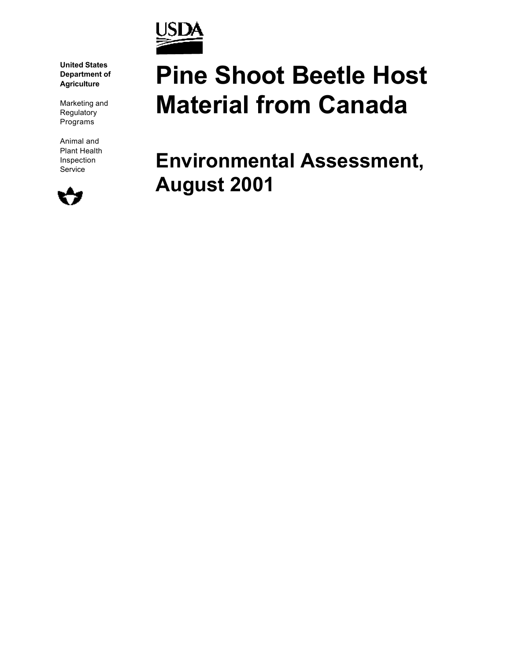

**United States Department of Agriculture**

Marketing and **Regulatory** Programs

Animal and Plant Health Inspection Service



# **Pine Shoot Beetle Host Material from Canada**

**Environmental Assessment, August 2001**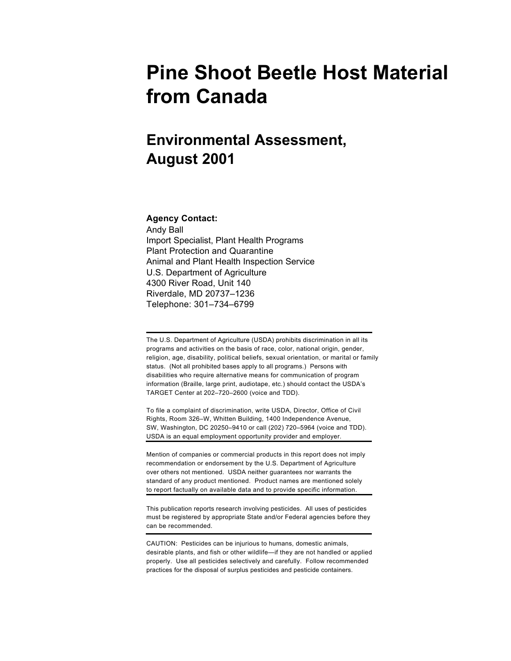## **Pine Shoot Beetle Host Material from Canada**

## **Environmental Assessment, August 2001**

#### **Agency Contact:**

Andy Ball Import Specialist, Plant Health Programs Plant Protection and Quarantine Animal and Plant Health Inspection Service U.S. Department of Agriculture 4300 River Road, Unit 140 Riverdale, MD 20737–1236 Telephone: 301–734–6799

The U.S. Department of Agriculture (USDA) prohibits discrimination in all its programs and activities on the basis of race, color, national origin, gender, religion, age, disability, political beliefs, sexual orientation, or marital or family status. (Not all prohibited bases apply to all programs.) Persons with disabilities who require alternative means for communication of program information (Braille, large print, audiotape, etc.) should contact the USDA's TARGET Center at 202–720–2600 (voice and TDD).

To file a complaint of discrimination, write USDA, Director, Office of Civil Rights, Room 326–W, Whitten Building, 1400 Independence Avenue, SW, Washington, DC 20250–9410 or call (202) 720–5964 (voice and TDD). USDA is an equal employment opportunity provider and employer.

Mention of companies or commercial products in this report does not imply recommendation or endorsement by the U.S. Department of Agriculture over others not mentioned. USDA neither guarantees nor warrants the standard of any product mentioned. Product names are mentioned solely to report factually on available data and to provide specific information.

This publication reports research involving pesticides. All uses of pesticides must be registered by appropriate State and/or Federal agencies before they can be recommended.

CAUTION: Pesticides can be injurious to humans, domestic animals, desirable plants, and fish or other wildlife—if they are not handled or applied properly. Use all pesticides selectively and carefully. Follow recommended practices for the disposal of surplus pesticides and pesticide containers.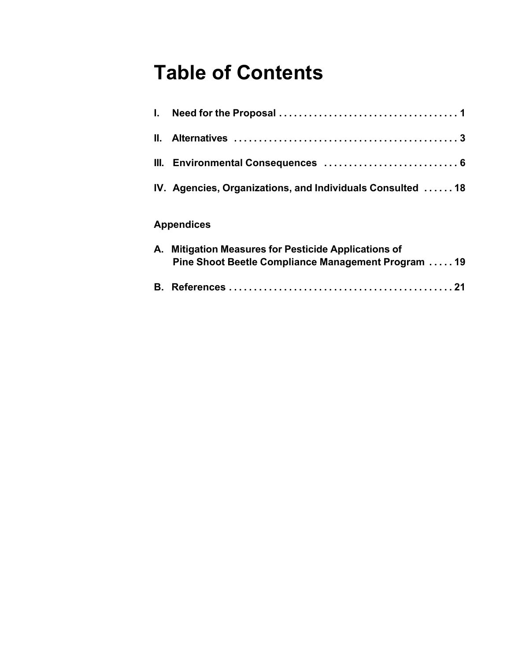## **Table of Contents**

| III. Environmental Consequences  6                         |
|------------------------------------------------------------|
| IV. Agencies, Organizations, and Individuals Consulted  18 |
|                                                            |

### **Appendices**

| A. Mitigation Measures for Pesticide Applications of<br>Pine Shoot Beetle Compliance Management Program  19 |  |
|-------------------------------------------------------------------------------------------------------------|--|
|                                                                                                             |  |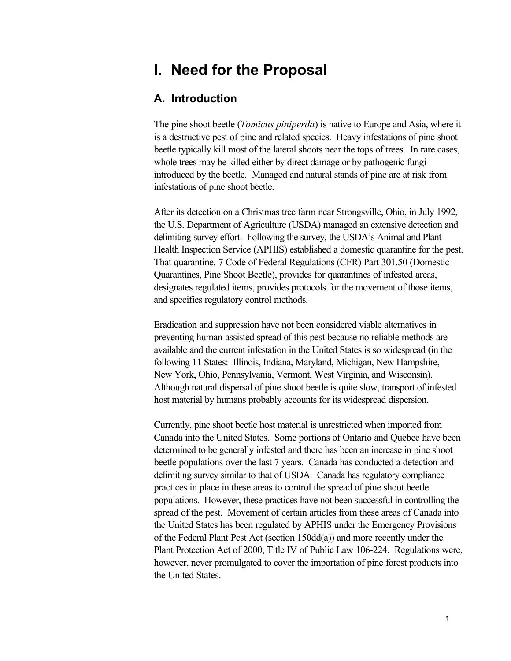## **I. Need for the Proposal**

#### **A. Introduction**

The pine shoot beetle (*Tomicus piniperda*) is native to Europe and Asia, where it is a destructive pest of pine and related species. Heavy infestations of pine shoot beetle typically kill most of the lateral shoots near the tops of trees. In rare cases, whole trees may be killed either by direct damage or by pathogenic fungi introduced by the beetle. Managed and natural stands of pine are at risk from infestations of pine shoot beetle.

After its detection on a Christmas tree farm near Strongsville, Ohio, in July 1992, the U.S. Department of Agriculture (USDA) managed an extensive detection and delimiting survey effort. Following the survey, the USDA's Animal and Plant Health Inspection Service (APHIS) established a domestic quarantine for the pest. That quarantine, 7 Code of Federal Regulations (CFR) Part 301.50 (Domestic Quarantines, Pine Shoot Beetle), provides for quarantines of infested areas, designates regulated items, provides protocols for the movement of those items, and specifies regulatory control methods.

Eradication and suppression have not been considered viable alternatives in preventing human-assisted spread of this pest because no reliable methods are available and the current infestation in the United States is so widespread (in the following 11 States: Illinois, Indiana, Maryland, Michigan, New Hampshire, New York, Ohio, Pennsylvania, Vermont, West Virginia, and Wisconsin). Although natural dispersal of pine shoot beetle is quite slow, transport of infested host material by humans probably accounts for its widespread dispersion.

Currently, pine shoot beetle host material is unrestricted when imported from Canada into the United States. Some portions of Ontario and Quebec have been determined to be generally infested and there has been an increase in pine shoot beetle populations over the last 7 years. Canada has conducted a detection and delimiting survey similar to that of USDA. Canada has regulatory compliance practices in place in these areas to control the spread of pine shoot beetle populations. However, these practices have not been successful in controlling the spread of the pest. Movement of certain articles from these areas of Canada into the United States has been regulated by APHIS under the Emergency Provisions of the Federal Plant Pest Act (section 150dd(a)) and more recently under the Plant Protection Act of 2000, Title IV of Public Law 106-224. Regulations were, however, never promulgated to cover the importation of pine forest products into the United States.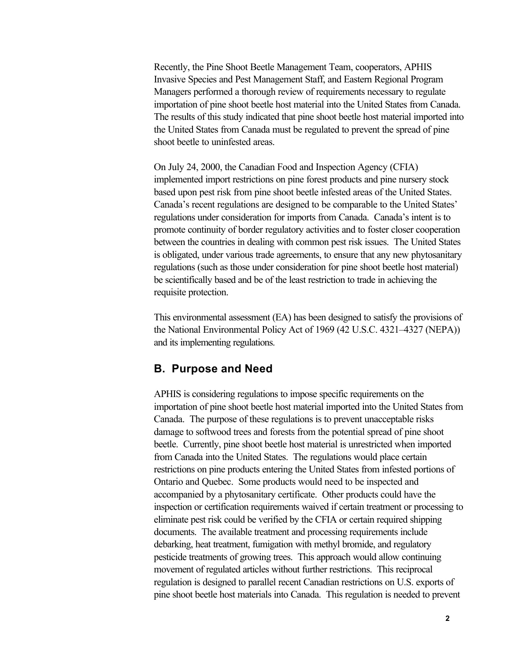Recently, the Pine Shoot Beetle Management Team, cooperators, APHIS Invasive Species and Pest Management Staff, and Eastern Regional Program Managers performed a thorough review of requirements necessary to regulate importation of pine shoot beetle host material into the United States from Canada. The results of this study indicated that pine shoot beetle host material imported into the United States from Canada must be regulated to prevent the spread of pine shoot beetle to uninfested areas.

On July 24, 2000, the Canadian Food and Inspection Agency (CFIA) implemented import restrictions on pine forest products and pine nursery stock based upon pest risk from pine shoot beetle infested areas of the United States. Canada's recent regulations are designed to be comparable to the United States' regulations under consideration for imports from Canada. Canada's intent is to promote continuity of border regulatory activities and to foster closer cooperation between the countries in dealing with common pest risk issues. The United States is obligated, under various trade agreements, to ensure that any new phytosanitary regulations (such as those under consideration for pine shoot beetle host material) be scientifically based and be of the least restriction to trade in achieving the requisite protection.

This environmental assessment (EA) has been designed to satisfy the provisions of the National Environmental Policy Act of 1969 (42 U.S.C. 4321–4327 (NEPA)) and its implementing regulations.

#### **B. Purpose and Need**

APHIS is considering regulations to impose specific requirements on the importation of pine shoot beetle host material imported into the United States from Canada. The purpose of these regulations is to prevent unacceptable risks damage to softwood trees and forests from the potential spread of pine shoot beetle. Currently, pine shoot beetle host material is unrestricted when imported from Canada into the United States. The regulations would place certain restrictions on pine products entering the United States from infested portions of Ontario and Quebec. Some products would need to be inspected and accompanied by a phytosanitary certificate. Other products could have the inspection or certification requirements waived if certain treatment or processing to eliminate pest risk could be verified by the CFIA or certain required shipping documents. The available treatment and processing requirements include debarking, heat treatment, fumigation with methyl bromide, and regulatory pesticide treatments of growing trees. This approach would allow continuing movement of regulated articles without further restrictions. This reciprocal regulation is designed to parallel recent Canadian restrictions on U.S. exports of pine shoot beetle host materials into Canada. This regulation is needed to prevent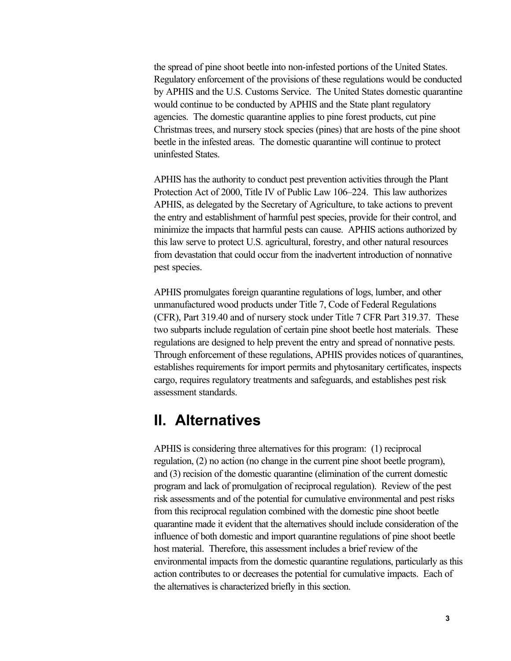the spread of pine shoot beetle into non-infested portions of the United States. Regulatory enforcement of the provisions of these regulations would be conducted by APHIS and the U.S. Customs Service. The United States domestic quarantine would continue to be conducted by APHIS and the State plant regulatory agencies. The domestic quarantine applies to pine forest products, cut pine Christmas trees, and nursery stock species (pines) that are hosts of the pine shoot beetle in the infested areas. The domestic quarantine will continue to protect uninfested States.

APHIS has the authority to conduct pest prevention activities through the Plant Protection Act of 2000, Title IV of Public Law 106–224. This law authorizes APHIS, as delegated by the Secretary of Agriculture, to take actions to prevent the entry and establishment of harmful pest species, provide for their control, and minimize the impacts that harmful pests can cause. APHIS actions authorized by this law serve to protect U.S. agricultural, forestry, and other natural resources from devastation that could occur from the inadvertent introduction of nonnative pest species.

APHIS promulgates foreign quarantine regulations of logs, lumber, and other unmanufactured wood products under Title 7, Code of Federal Regulations (CFR), Part 319.40 and of nursery stock under Title 7 CFR Part 319.37. These two subparts include regulation of certain pine shoot beetle host materials. These regulations are designed to help prevent the entry and spread of nonnative pests. Through enforcement of these regulations, APHIS provides notices of quarantines, establishes requirements for import permits and phytosanitary certificates, inspects cargo, requires regulatory treatments and safeguards, and establishes pest risk assessment standards.

## **II. Alternatives**

APHIS is considering three alternatives for this program: (1) reciprocal regulation, (2) no action (no change in the current pine shoot beetle program), and (3) recision of the domestic quarantine (elimination of the current domestic program and lack of promulgation of reciprocal regulation). Review of the pest risk assessments and of the potential for cumulative environmental and pest risks from this reciprocal regulation combined with the domestic pine shoot beetle quarantine made it evident that the alternatives should include consideration of the influence of both domestic and import quarantine regulations of pine shoot beetle host material. Therefore, this assessment includes a brief review of the environmental impacts from the domestic quarantine regulations, particularly as this action contributes to or decreases the potential for cumulative impacts. Each of the alternatives is characterized briefly in this section.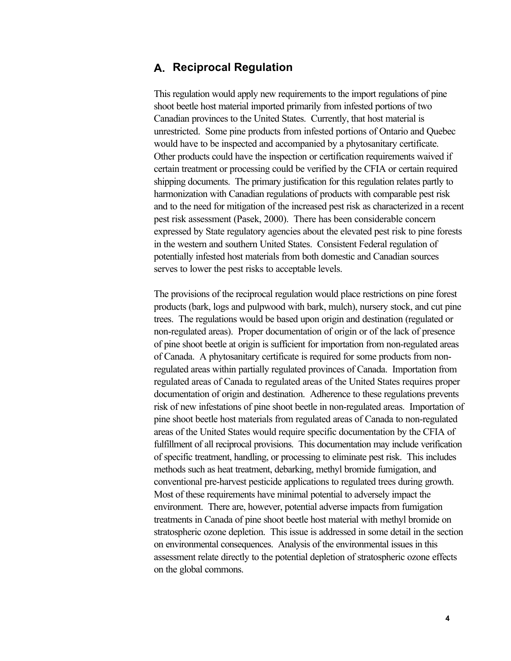#### **A. Reciprocal Regulation**

This regulation would apply new requirements to the import regulations of pine shoot beetle host material imported primarily from infested portions of two Canadian provinces to the United States. Currently, that host material is unrestricted. Some pine products from infested portions of Ontario and Quebec would have to be inspected and accompanied by a phytosanitary certificate. Other products could have the inspection or certification requirements waived if certain treatment or processing could be verified by the CFIA or certain required shipping documents. The primary justification for this regulation relates partly to harmonization with Canadian regulations of products with comparable pest risk and to the need for mitigation of the increased pest risk as characterized in a recent pest risk assessment (Pasek, 2000). There has been considerable concern expressed by State regulatory agencies about the elevated pest risk to pine forests in the western and southern United States. Consistent Federal regulation of potentially infested host materials from both domestic and Canadian sources serves to lower the pest risks to acceptable levels.

The provisions of the reciprocal regulation would place restrictions on pine forest products (bark, logs and pulpwood with bark, mulch), nursery stock, and cut pine trees. The regulations would be based upon origin and destination (regulated or non-regulated areas). Proper documentation of origin or of the lack of presence of pine shoot beetle at origin is sufficient for importation from non-regulated areas of Canada. A phytosanitary certificate is required for some products from nonregulated areas within partially regulated provinces of Canada. Importation from regulated areas of Canada to regulated areas of the United States requires proper documentation of origin and destination. Adherence to these regulations prevents risk of new infestations of pine shoot beetle in non-regulated areas. Importation of pine shoot beetle host materials from regulated areas of Canada to non-regulated areas of the United States would require specific documentation by the CFIA of fulfillment of all reciprocal provisions. This documentation may include verification of specific treatment, handling, or processing to eliminate pest risk. This includes methods such as heat treatment, debarking, methyl bromide fumigation, and conventional pre-harvest pesticide applications to regulated trees during growth. Most of these requirements have minimal potential to adversely impact the environment. There are, however, potential adverse impacts from fumigation treatments in Canada of pine shoot beetle host material with methyl bromide on stratospheric ozone depletion. This issue is addressed in some detail in the section on environmental consequences. Analysis of the environmental issues in this assessment relate directly to the potential depletion of stratospheric ozone effects on the global commons.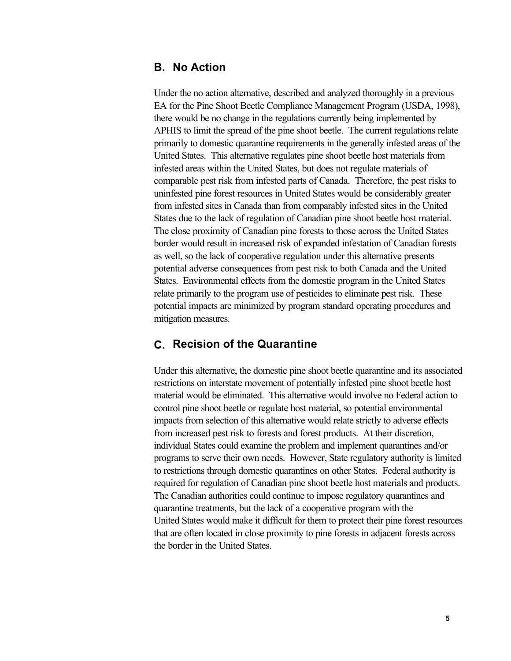#### **B. No Action**

Under the no action alternative, described and analyzed thoroughly in a previous EA for the Pine Shoot Beetle Compliance Management Program (USDA, 1998), there would be no change in the regulations currently being implemented by APHIS to limit the spread of the pine shoot beetle. The current regulations relate primarily to domestic quarantine requirements in the generally infested areas of the United States. This alternative regulates pine shoot beetle host materials from infested areas within the United States, but does not regulate materials of comparable pest risk from infested parts of Canada. Therefore, the pest risks to uninfested pine forest resources in United States would be considerably greater from infested sites in Canada than from comparably infested sites in the United States due to the lack of regulation of Canadian pine shoot beetle host material. The close proximity of Canadian pine forests to those across the United States border would result in increased risk of expanded infestation of Canadian forests as well, so the lack of cooperative regulation under this alternative presents potential adverse consequences from pest risk to both Canada and the United States. Environmental effects from the domestic program in the United States relate primarily to the program use of pesticides to eliminate pest risk. These potential impacts are minimized by program standard operating procedures and mitigation measures.

#### **C. Recision of the Quarantine**

Under this alternative, the domestic pine shoot beetle quarantine and its associated restrictions on interstate movement of potentially infested pine shoot beetle host material would be eliminated. This alternative would involve no Federal action to control pine shoot beetle or regulate host material, so potential environmental impacts from selection of this alternative would relate strictly to adverse effects from increased pest risk to forests and forest products. At their discretion, individual States could examine the problem and implement quarantines and/or programs to serve their own needs. However, State regulatory authority is limited to restrictions through domestic quarantines on other States. Federal authority is required for regulation of Canadian pine shoot beetle host materials and products. The Canadian authorities could continue to impose regulatory quarantines and quarantine treatments, but the lack of a cooperative program with the United States would make it difficult for them to protect their pine forest resources that are often located in close proximity to pine forests in adjacent forests across the border in the United States.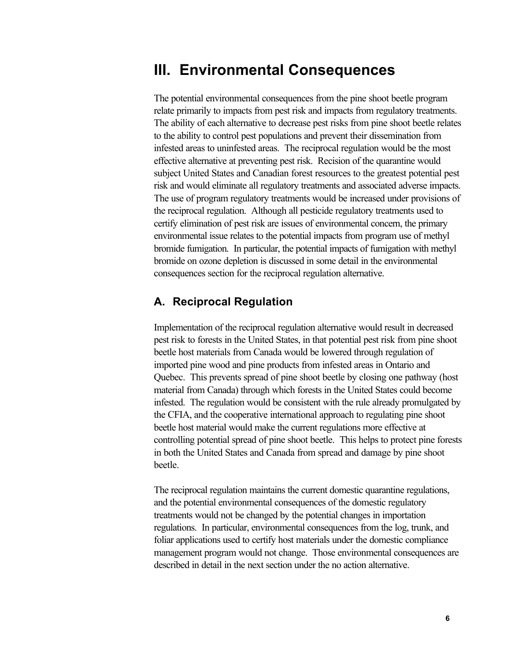## **III. Environmental Consequences**

The potential environmental consequences from the pine shoot beetle program relate primarily to impacts from pest risk and impacts from regulatory treatments. The ability of each alternative to decrease pest risks from pine shoot beetle relates to the ability to control pest populations and prevent their dissemination from infested areas to uninfested areas. The reciprocal regulation would be the most effective alternative at preventing pest risk. Recision of the quarantine would subject United States and Canadian forest resources to the greatest potential pest risk and would eliminate all regulatory treatments and associated adverse impacts. The use of program regulatory treatments would be increased under provisions of the reciprocal regulation. Although all pesticide regulatory treatments used to certify elimination of pest risk are issues of environmental concern, the primary environmental issue relates to the potential impacts from program use of methyl bromide fumigation. In particular, the potential impacts of fumigation with methyl bromide on ozone depletion is discussed in some detail in the environmental consequences section for the reciprocal regulation alternative.

#### **A. Reciprocal Regulation**

Implementation of the reciprocal regulation alternative would result in decreased pest risk to forests in the United States, in that potential pest risk from pine shoot beetle host materials from Canada would be lowered through regulation of imported pine wood and pine products from infested areas in Ontario and Quebec. This prevents spread of pine shoot beetle by closing one pathway (host material from Canada) through which forests in the United States could become infested. The regulation would be consistent with the rule already promulgated by the CFIA, and the cooperative international approach to regulating pine shoot beetle host material would make the current regulations more effective at controlling potential spread of pine shoot beetle. This helps to protect pine forests in both the United States and Canada from spread and damage by pine shoot beetle.

The reciprocal regulation maintains the current domestic quarantine regulations, and the potential environmental consequences of the domestic regulatory treatments would not be changed by the potential changes in importation regulations. In particular, environmental consequences from the log, trunk, and foliar applications used to certify host materials under the domestic compliance management program would not change. Those environmental consequences are described in detail in the next section under the no action alternative.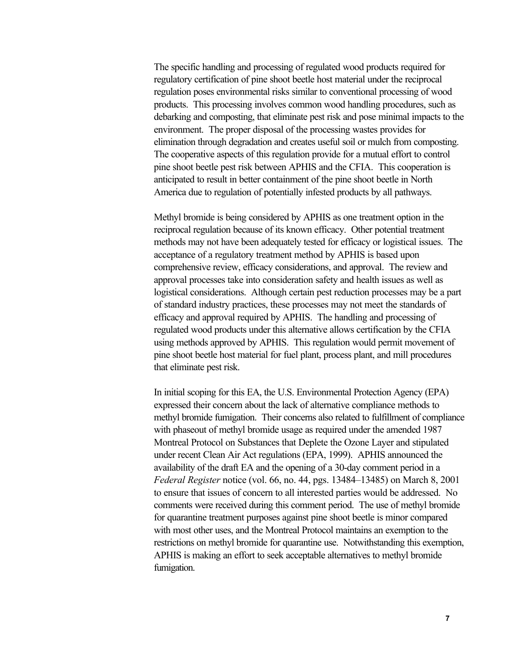The specific handling and processing of regulated wood products required for regulatory certification of pine shoot beetle host material under the reciprocal regulation poses environmental risks similar to conventional processing of wood products. This processing involves common wood handling procedures, such as debarking and composting, that eliminate pest risk and pose minimal impacts to the environment. The proper disposal of the processing wastes provides for elimination through degradation and creates useful soil or mulch from composting. The cooperative aspects of this regulation provide for a mutual effort to control pine shoot beetle pest risk between APHIS and the CFIA. This cooperation is anticipated to result in better containment of the pine shoot beetle in North America due to regulation of potentially infested products by all pathways.

Methyl bromide is being considered by APHIS as one treatment option in the reciprocal regulation because of its known efficacy. Other potential treatment methods may not have been adequately tested for efficacy or logistical issues. The acceptance of a regulatory treatment method by APHIS is based upon comprehensive review, efficacy considerations, and approval. The review and approval processes take into consideration safety and health issues as well as logistical considerations. Although certain pest reduction processes may be a part of standard industry practices, these processes may not meet the standards of efficacy and approval required by APHIS. The handling and processing of regulated wood products under this alternative allows certification by the CFIA using methods approved by APHIS. This regulation would permit movement of pine shoot beetle host material for fuel plant, process plant, and mill procedures that eliminate pest risk.

In initial scoping for this EA, the U.S. Environmental Protection Agency (EPA) expressed their concern about the lack of alternative compliance methods to methyl bromide fumigation. Their concerns also related to fulfillment of compliance with phaseout of methyl bromide usage as required under the amended 1987 Montreal Protocol on Substances that Deplete the Ozone Layer and stipulated under recent Clean Air Act regulations (EPA, 1999). APHIS announced the availability of the draft EA and the opening of a 30-day comment period in a *Federal Register* notice (vol. 66, no. 44, pgs. 13484–13485) on March 8, 2001 to ensure that issues of concern to all interested parties would be addressed. No comments were received during this comment period. The use of methyl bromide for quarantine treatment purposes against pine shoot beetle is minor compared with most other uses, and the Montreal Protocol maintains an exemption to the restrictions on methyl bromide for quarantine use. Notwithstanding this exemption, APHIS is making an effort to seek acceptable alternatives to methyl bromide fumigation.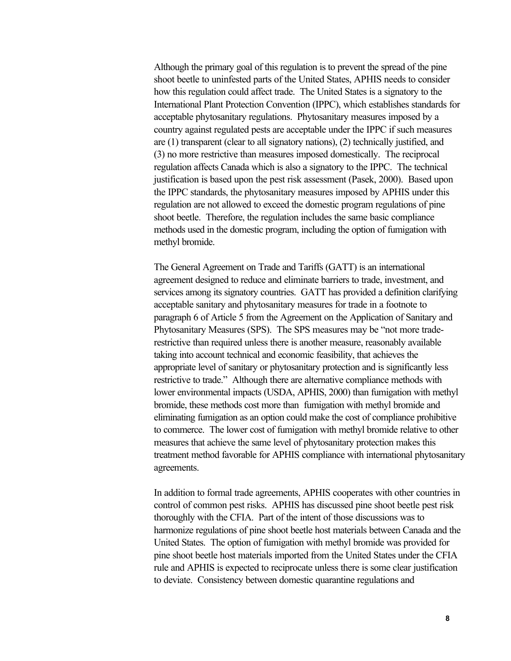Although the primary goal of this regulation is to prevent the spread of the pine shoot beetle to uninfested parts of the United States, APHIS needs to consider how this regulation could affect trade. The United States is a signatory to the International Plant Protection Convention (IPPC), which establishes standards for acceptable phytosanitary regulations. Phytosanitary measures imposed by a country against regulated pests are acceptable under the IPPC if such measures are (1) transparent (clear to all signatory nations), (2) technically justified, and (3) no more restrictive than measures imposed domestically. The reciprocal regulation affects Canada which is also a signatory to the IPPC. The technical justification is based upon the pest risk assessment (Pasek, 2000). Based upon the IPPC standards, the phytosanitary measures imposed by APHIS under this regulation are not allowed to exceed the domestic program regulations of pine shoot beetle. Therefore, the regulation includes the same basic compliance methods used in the domestic program, including the option of fumigation with methyl bromide.

The General Agreement on Trade and Tariffs (GATT) is an international agreement designed to reduce and eliminate barriers to trade, investment, and services among its signatory countries. GATT has provided a definition clarifying acceptable sanitary and phytosanitary measures for trade in a footnote to paragraph 6 of Article 5 from the Agreement on the Application of Sanitary and Phytosanitary Measures (SPS). The SPS measures may be "not more traderestrictive than required unless there is another measure, reasonably available taking into account technical and economic feasibility, that achieves the appropriate level of sanitary or phytosanitary protection and is significantly less restrictive to trade." Although there are alternative compliance methods with lower environmental impacts (USDA, APHIS, 2000) than fumigation with methyl bromide, these methods cost more than fumigation with methyl bromide and eliminating fumigation as an option could make the cost of compliance prohibitive to commerce. The lower cost of fumigation with methyl bromide relative to other measures that achieve the same level of phytosanitary protection makes this treatment method favorable for APHIS compliance with international phytosanitary agreements.

In addition to formal trade agreements, APHIS cooperates with other countries in control of common pest risks. APHIS has discussed pine shoot beetle pest risk thoroughly with the CFIA. Part of the intent of those discussions was to harmonize regulations of pine shoot beetle host materials between Canada and the United States. The option of fumigation with methyl bromide was provided for pine shoot beetle host materials imported from the United States under the CFIA rule and APHIS is expected to reciprocate unless there is some clear justification to deviate. Consistency between domestic quarantine regulations and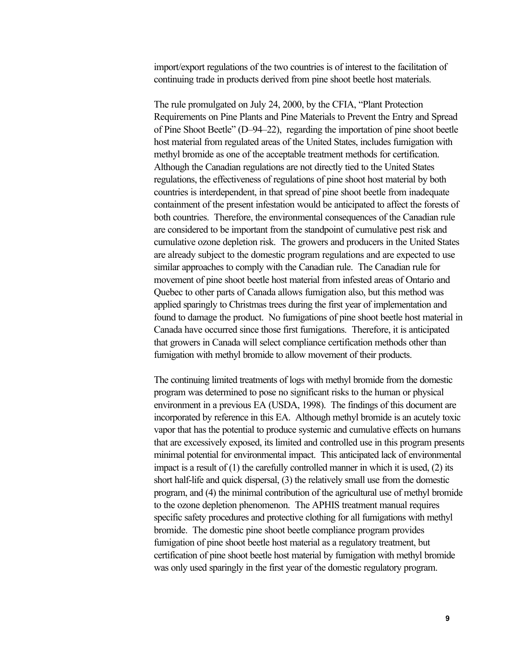import/export regulations of the two countries is of interest to the facilitation of continuing trade in products derived from pine shoot beetle host materials.

The rule promulgated on July 24, 2000, by the CFIA, "Plant Protection Requirements on Pine Plants and Pine Materials to Prevent the Entry and Spread of Pine Shoot Beetle" (D–94–22), regarding the importation of pine shoot beetle host material from regulated areas of the United States, includes fumigation with methyl bromide as one of the acceptable treatment methods for certification. Although the Canadian regulations are not directly tied to the United States regulations, the effectiveness of regulations of pine shoot host material by both countries is interdependent, in that spread of pine shoot beetle from inadequate containment of the present infestation would be anticipated to affect the forests of both countries. Therefore, the environmental consequences of the Canadian rule are considered to be important from the standpoint of cumulative pest risk and cumulative ozone depletion risk. The growers and producers in the United States are already subject to the domestic program regulations and are expected to use similar approaches to comply with the Canadian rule. The Canadian rule for movement of pine shoot beetle host material from infested areas of Ontario and Quebec to other parts of Canada allows fumigation also, but this method was applied sparingly to Christmas trees during the first year of implementation and found to damage the product. No fumigations of pine shoot beetle host material in Canada have occurred since those first fumigations. Therefore, it is anticipated that growers in Canada will select compliance certification methods other than fumigation with methyl bromide to allow movement of their products.

The continuing limited treatments of logs with methyl bromide from the domestic program was determined to pose no significant risks to the human or physical environment in a previous EA (USDA, 1998). The findings of this document are incorporated by reference in this EA. Although methyl bromide is an acutely toxic vapor that has the potential to produce systemic and cumulative effects on humans that are excessively exposed, its limited and controlled use in this program presents minimal potential for environmental impact. This anticipated lack of environmental impact is a result of  $(1)$  the carefully controlled manner in which it is used,  $(2)$  its short half-life and quick dispersal, (3) the relatively small use from the domestic program, and (4) the minimal contribution of the agricultural use of methyl bromide to the ozone depletion phenomenon. The APHIS treatment manual requires specific safety procedures and protective clothing for all fumigations with methyl bromide. The domestic pine shoot beetle compliance program provides fumigation of pine shoot beetle host material as a regulatory treatment, but certification of pine shoot beetle host material by fumigation with methyl bromide was only used sparingly in the first year of the domestic regulatory program.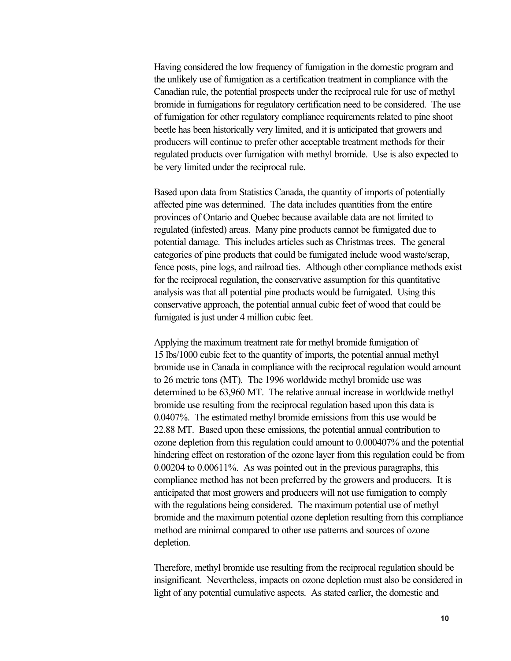Having considered the low frequency of fumigation in the domestic program and the unlikely use of fumigation as a certification treatment in compliance with the Canadian rule, the potential prospects under the reciprocal rule for use of methyl bromide in fumigations for regulatory certification need to be considered. The use of fumigation for other regulatory compliance requirements related to pine shoot beetle has been historically very limited, and it is anticipated that growers and producers will continue to prefer other acceptable treatment methods for their regulated products over fumigation with methyl bromide. Use is also expected to be very limited under the reciprocal rule.

Based upon data from Statistics Canada, the quantity of imports of potentially affected pine was determined. The data includes quantities from the entire provinces of Ontario and Quebec because available data are not limited to regulated (infested) areas. Many pine products cannot be fumigated due to potential damage. This includes articles such as Christmas trees. The general categories of pine products that could be fumigated include wood waste/scrap, fence posts, pine logs, and railroad ties. Although other compliance methods exist for the reciprocal regulation, the conservative assumption for this quantitative analysis was that all potential pine products would be fumigated. Using this conservative approach, the potential annual cubic feet of wood that could be fumigated is just under 4 million cubic feet.

Applying the maximum treatment rate for methyl bromide fumigation of 15 lbs/1000 cubic feet to the quantity of imports, the potential annual methyl bromide use in Canada in compliance with the reciprocal regulation would amount to 26 metric tons (MT). The 1996 worldwide methyl bromide use was determined to be 63,960 MT. The relative annual increase in worldwide methyl bromide use resulting from the reciprocal regulation based upon this data is 0.0407%. The estimated methyl bromide emissions from this use would be 22.88 MT. Based upon these emissions, the potential annual contribution to ozone depletion from this regulation could amount to 0.000407% and the potential hindering effect on restoration of the ozone layer from this regulation could be from 0.00204 to 0.00611%. As was pointed out in the previous paragraphs, this compliance method has not been preferred by the growers and producers. It is anticipated that most growers and producers will not use fumigation to comply with the regulations being considered. The maximum potential use of methyl bromide and the maximum potential ozone depletion resulting from this compliance method are minimal compared to other use patterns and sources of ozone depletion.

Therefore, methyl bromide use resulting from the reciprocal regulation should be insignificant. Nevertheless, impacts on ozone depletion must also be considered in light of any potential cumulative aspects. As stated earlier, the domestic and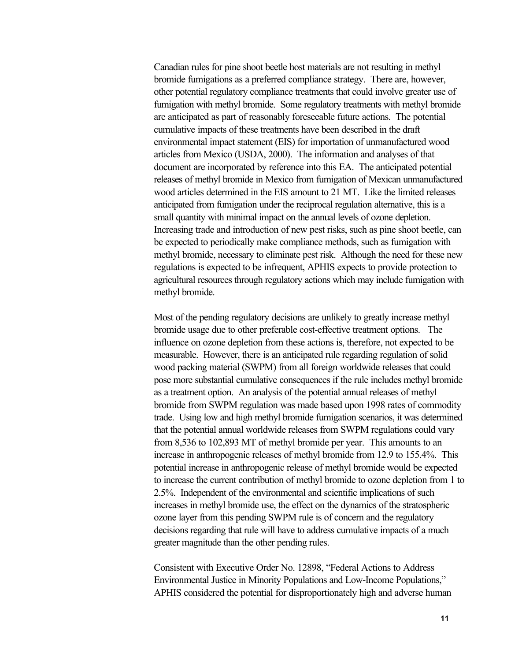Canadian rules for pine shoot beetle host materials are not resulting in methyl bromide fumigations as a preferred compliance strategy. There are, however, other potential regulatory compliance treatments that could involve greater use of fumigation with methyl bromide. Some regulatory treatments with methyl bromide are anticipated as part of reasonably foreseeable future actions. The potential cumulative impacts of these treatments have been described in the draft environmental impact statement (EIS) for importation of unmanufactured wood articles from Mexico (USDA, 2000). The information and analyses of that document are incorporated by reference into this EA. The anticipated potential releases of methyl bromide in Mexico from fumigation of Mexican unmanufactured wood articles determined in the EIS amount to 21 MT. Like the limited releases anticipated from fumigation under the reciprocal regulation alternative, this is a small quantity with minimal impact on the annual levels of ozone depletion. Increasing trade and introduction of new pest risks, such as pine shoot beetle, can be expected to periodically make compliance methods, such as fumigation with methyl bromide, necessary to eliminate pest risk. Although the need for these new regulations is expected to be infrequent, APHIS expects to provide protection to agricultural resources through regulatory actions which may include fumigation with methyl bromide.

Most of the pending regulatory decisions are unlikely to greatly increase methyl bromide usage due to other preferable cost-effective treatment options. The influence on ozone depletion from these actions is, therefore, not expected to be measurable. However, there is an anticipated rule regarding regulation of solid wood packing material (SWPM) from all foreign worldwide releases that could pose more substantial cumulative consequences if the rule includes methyl bromide as a treatment option. An analysis of the potential annual releases of methyl bromide from SWPM regulation was made based upon 1998 rates of commodity trade. Using low and high methyl bromide fumigation scenarios, it was determined that the potential annual worldwide releases from SWPM regulations could vary from 8,536 to 102,893 MT of methyl bromide per year. This amounts to an increase in anthropogenic releases of methyl bromide from 12.9 to 155.4%. This potential increase in anthropogenic release of methyl bromide would be expected to increase the current contribution of methyl bromide to ozone depletion from 1 to 2.5%. Independent of the environmental and scientific implications of such increases in methyl bromide use, the effect on the dynamics of the stratospheric ozone layer from this pending SWPM rule is of concern and the regulatory decisions regarding that rule will have to address cumulative impacts of a much greater magnitude than the other pending rules.

Consistent with Executive Order No. 12898, "Federal Actions to Address Environmental Justice in Minority Populations and Low-Income Populations," APHIS considered the potential for disproportionately high and adverse human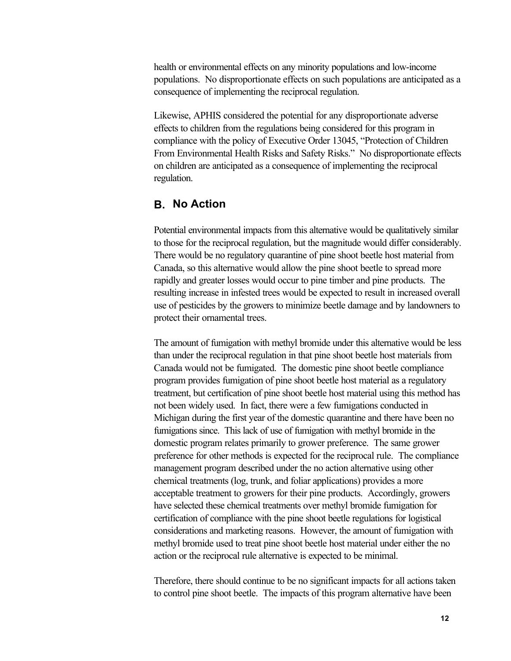health or environmental effects on any minority populations and low-income populations. No disproportionate effects on such populations are anticipated as a consequence of implementing the reciprocal regulation.

Likewise, APHIS considered the potential for any disproportionate adverse effects to children from the regulations being considered for this program in compliance with the policy of Executive Order 13045, "Protection of Children From Environmental Health Risks and Safety Risks." No disproportionate effects on children are anticipated as a consequence of implementing the reciprocal regulation.

#### **B. No Action**

Potential environmental impacts from this alternative would be qualitatively similar to those for the reciprocal regulation, but the magnitude would differ considerably. There would be no regulatory quarantine of pine shoot beetle host material from Canada, so this alternative would allow the pine shoot beetle to spread more rapidly and greater losses would occur to pine timber and pine products. The resulting increase in infested trees would be expected to result in increased overall use of pesticides by the growers to minimize beetle damage and by landowners to protect their ornamental trees.

The amount of fumigation with methyl bromide under this alternative would be less than under the reciprocal regulation in that pine shoot beetle host materials from Canada would not be fumigated. The domestic pine shoot beetle compliance program provides fumigation of pine shoot beetle host material as a regulatory treatment, but certification of pine shoot beetle host material using this method has not been widely used. In fact, there were a few fumigations conducted in Michigan during the first year of the domestic quarantine and there have been no fumigations since. This lack of use of fumigation with methyl bromide in the domestic program relates primarily to grower preference. The same grower preference for other methods is expected for the reciprocal rule. The compliance management program described under the no action alternative using other chemical treatments (log, trunk, and foliar applications) provides a more acceptable treatment to growers for their pine products. Accordingly, growers have selected these chemical treatments over methyl bromide fumigation for certification of compliance with the pine shoot beetle regulations for logistical considerations and marketing reasons. However, the amount of fumigation with methyl bromide used to treat pine shoot beetle host material under either the no action or the reciprocal rule alternative is expected to be minimal.

Therefore, there should continue to be no significant impacts for all actions taken to control pine shoot beetle. The impacts of this program alternative have been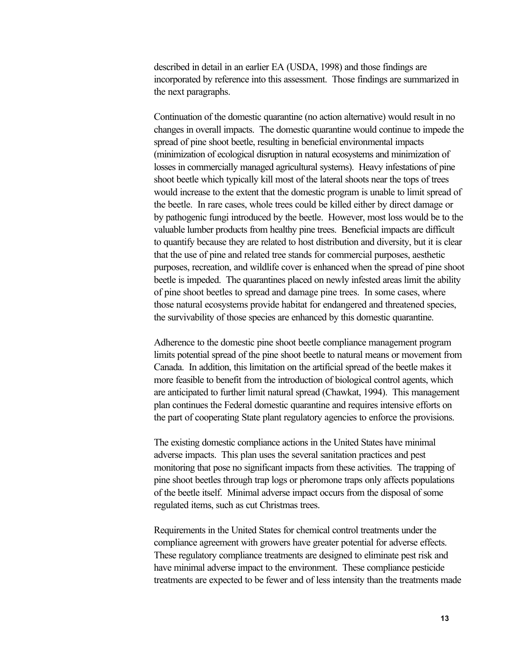described in detail in an earlier EA (USDA, 1998) and those findings are incorporated by reference into this assessment. Those findings are summarized in the next paragraphs.

Continuation of the domestic quarantine (no action alternative) would result in no changes in overall impacts. The domestic quarantine would continue to impede the spread of pine shoot beetle, resulting in beneficial environmental impacts (minimization of ecological disruption in natural ecosystems and minimization of losses in commercially managed agricultural systems). Heavy infestations of pine shoot beetle which typically kill most of the lateral shoots near the tops of trees would increase to the extent that the domestic program is unable to limit spread of the beetle. In rare cases, whole trees could be killed either by direct damage or by pathogenic fungi introduced by the beetle. However, most loss would be to the valuable lumber products from healthy pine trees. Beneficial impacts are difficult to quantify because they are related to host distribution and diversity, but it is clear that the use of pine and related tree stands for commercial purposes, aesthetic purposes, recreation, and wildlife cover is enhanced when the spread of pine shoot beetle is impeded. The quarantines placed on newly infested areas limit the ability of pine shoot beetles to spread and damage pine trees. In some cases, where those natural ecosystems provide habitat for endangered and threatened species, the survivability of those species are enhanced by this domestic quarantine.

Adherence to the domestic pine shoot beetle compliance management program limits potential spread of the pine shoot beetle to natural means or movement from Canada. In addition, this limitation on the artificial spread of the beetle makes it more feasible to benefit from the introduction of biological control agents, which are anticipated to further limit natural spread (Chawkat, 1994). This management plan continues the Federal domestic quarantine and requires intensive efforts on the part of cooperating State plant regulatory agencies to enforce the provisions.

The existing domestic compliance actions in the United States have minimal adverse impacts. This plan uses the several sanitation practices and pest monitoring that pose no significant impacts from these activities. The trapping of pine shoot beetles through trap logs or pheromone traps only affects populations of the beetle itself. Minimal adverse impact occurs from the disposal of some regulated items, such as cut Christmas trees.

Requirements in the United States for chemical control treatments under the compliance agreement with growers have greater potential for adverse effects. These regulatory compliance treatments are designed to eliminate pest risk and have minimal adverse impact to the environment. These compliance pesticide treatments are expected to be fewer and of less intensity than the treatments made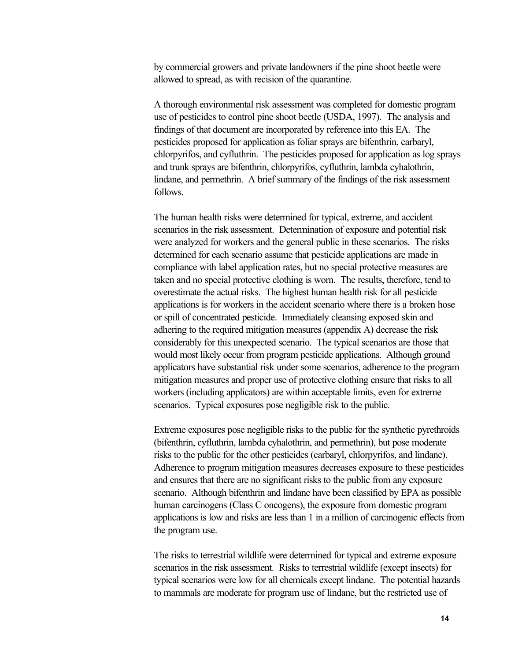by commercial growers and private landowners if the pine shoot beetle were allowed to spread, as with recision of the quarantine.

A thorough environmental risk assessment was completed for domestic program use of pesticides to control pine shoot beetle (USDA, 1997). The analysis and findings of that document are incorporated by reference into this EA. The pesticides proposed for application as foliar sprays are bifenthrin, carbaryl, chlorpyrifos, and cyfluthrin. The pesticides proposed for application as log sprays and trunk sprays are bifenthrin, chlorpyrifos, cyfluthrin, lambda cyhalothrin, lindane, and permethrin. A brief summary of the findings of the risk assessment follows.

The human health risks were determined for typical, extreme, and accident scenarios in the risk assessment. Determination of exposure and potential risk were analyzed for workers and the general public in these scenarios. The risks determined for each scenario assume that pesticide applications are made in compliance with label application rates, but no special protective measures are taken and no special protective clothing is worn. The results, therefore, tend to overestimate the actual risks. The highest human health risk for all pesticide applications is for workers in the accident scenario where there is a broken hose or spill of concentrated pesticide. Immediately cleansing exposed skin and adhering to the required mitigation measures (appendix A) decrease the risk considerably for this unexpected scenario. The typical scenarios are those that would most likely occur from program pesticide applications. Although ground applicators have substantial risk under some scenarios, adherence to the program mitigation measures and proper use of protective clothing ensure that risks to all workers (including applicators) are within acceptable limits, even for extreme scenarios. Typical exposures pose negligible risk to the public.

Extreme exposures pose negligible risks to the public for the synthetic pyrethroids (bifenthrin, cyfluthrin, lambda cyhalothrin, and permethrin), but pose moderate risks to the public for the other pesticides (carbaryl, chlorpyrifos, and lindane). Adherence to program mitigation measures decreases exposure to these pesticides and ensures that there are no significant risks to the public from any exposure scenario. Although bifenthrin and lindane have been classified by EPA as possible human carcinogens (Class C oncogens), the exposure from domestic program applications is low and risks are less than 1 in a million of carcinogenic effects from the program use.

The risks to terrestrial wildlife were determined for typical and extreme exposure scenarios in the risk assessment. Risks to terrestrial wildlife (except insects) for typical scenarios were low for all chemicals except lindane. The potential hazards to mammals are moderate for program use of lindane, but the restricted use of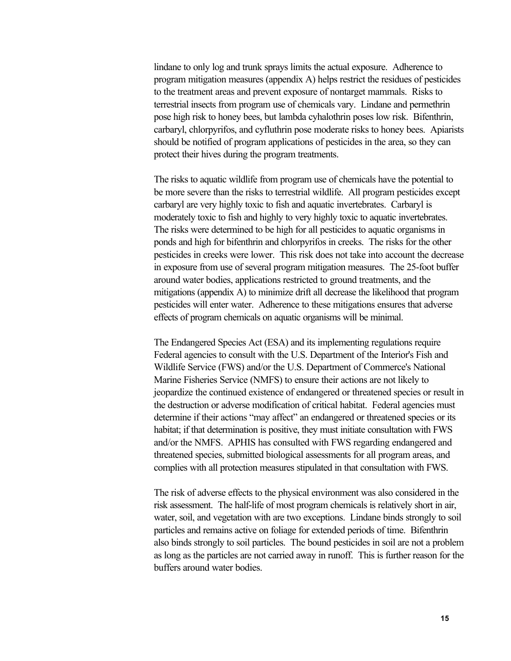lindane to only log and trunk sprays limits the actual exposure. Adherence to program mitigation measures (appendix A) helps restrict the residues of pesticides to the treatment areas and prevent exposure of nontarget mammals. Risks to terrestrial insects from program use of chemicals vary. Lindane and permethrin pose high risk to honey bees, but lambda cyhalothrin poses low risk. Bifenthrin, carbaryl, chlorpyrifos, and cyfluthrin pose moderate risks to honey bees. Apiarists should be notified of program applications of pesticides in the area, so they can protect their hives during the program treatments.

The risks to aquatic wildlife from program use of chemicals have the potential to be more severe than the risks to terrestrial wildlife. All program pesticides except carbaryl are very highly toxic to fish and aquatic invertebrates. Carbaryl is moderately toxic to fish and highly to very highly toxic to aquatic invertebrates. The risks were determined to be high for all pesticides to aquatic organisms in ponds and high for bifenthrin and chlorpyrifos in creeks. The risks for the other pesticides in creeks were lower. This risk does not take into account the decrease in exposure from use of several program mitigation measures. The 25-foot buffer around water bodies, applications restricted to ground treatments, and the mitigations (appendix A) to minimize drift all decrease the likelihood that program pesticides will enter water. Adherence to these mitigations ensures that adverse effects of program chemicals on aquatic organisms will be minimal.

The Endangered Species Act (ESA) and its implementing regulations require Federal agencies to consult with the U.S. Department of the Interior's Fish and Wildlife Service (FWS) and/or the U.S. Department of Commerce's National Marine Fisheries Service (NMFS) to ensure their actions are not likely to jeopardize the continued existence of endangered or threatened species or result in the destruction or adverse modification of critical habitat. Federal agencies must determine if their actions "may affect" an endangered or threatened species or its habitat; if that determination is positive, they must initiate consultation with FWS and/or the NMFS. APHIS has consulted with FWS regarding endangered and threatened species, submitted biological assessments for all program areas, and complies with all protection measures stipulated in that consultation with FWS.

The risk of adverse effects to the physical environment was also considered in the risk assessment. The half-life of most program chemicals is relatively short in air, water, soil, and vegetation with are two exceptions. Lindane binds strongly to soil particles and remains active on foliage for extended periods of time. Bifenthrin also binds strongly to soil particles. The bound pesticides in soil are not a problem as long as the particles are not carried away in runoff. This is further reason for the buffers around water bodies.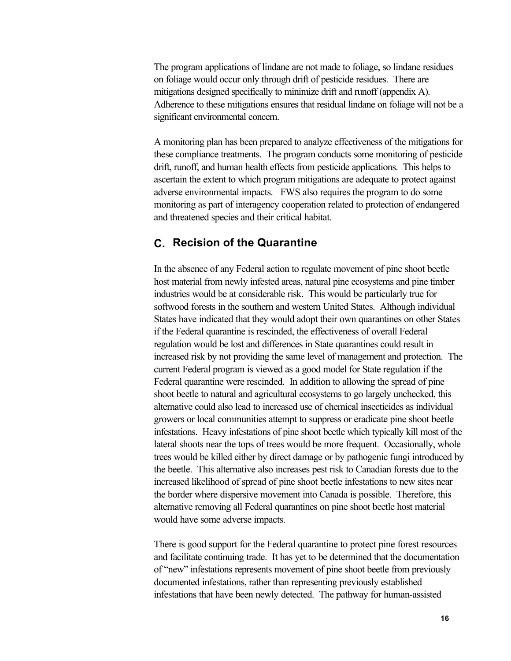The program applications of lindane are not made to foliage, so lindane residues on foliage would occur only through drift of pesticide residues. There are mitigations designed specifically to minimize drift and runoff (appendix A). Adherence to these mitigations ensures that residual lindane on foliage will not be a significant environmental concern.

A monitoring plan has been prepared to analyze effectiveness of the mitigations for these compliance treatments. The program conducts some monitoring of pesticide drift, runoff, and human health effects from pesticide applications. This helps to ascertain the extent to which program mitigations are adequate to protect against adverse environmental impacts. FWS also requires the program to do some monitoring as part of interagency cooperation related to protection of endangered and threatened species and their critical habitat.

#### **C. Recision of the Quarantine**

In the absence of any Federal action to regulate movement of pine shoot beetle host material from newly infested areas, natural pine ecosystems and pine timber industries would be at considerable risk. This would be particularly true for softwood forests in the southern and western United States. Although individual States have indicated that they would adopt their own quarantines on other States if the Federal quarantine is rescinded, the effectiveness of overall Federal regulation would be lost and differences in State quarantines could result in increased risk by not providing the same level of management and protection. The current Federal program is viewed as a good model for State regulation if the Federal quarantine were rescinded. In addition to allowing the spread of pine shoot beetle to natural and agricultural ecosystems to go largely unchecked, this alternative could also lead to increased use of chemical insecticides as individual growers or local communities attempt to suppress or eradicate pine shoot beetle infestations. Heavy infestations of pine shoot beetle which typically kill most of the lateral shoots near the tops of trees would be more frequent. Occasionally, whole trees would be killed either by direct damage or by pathogenic fungi introduced by the beetle. This alternative also increases pest risk to Canadian forests due to the increased likelihood of spread of pine shoot beetle infestations to new sites near the border where dispersive movement into Canada is possible. Therefore, this alternative removing all Federal quarantines on pine shoot beetle host material would have some adverse impacts.

There is good support for the Federal quarantine to protect pine forest resources and facilitate continuing trade. It has yet to be determined that the documentation of "new" infestations represents movement of pine shoot beetle from previously documented infestations, rather than representing previously established infestations that have been newly detected. The pathway for human-assisted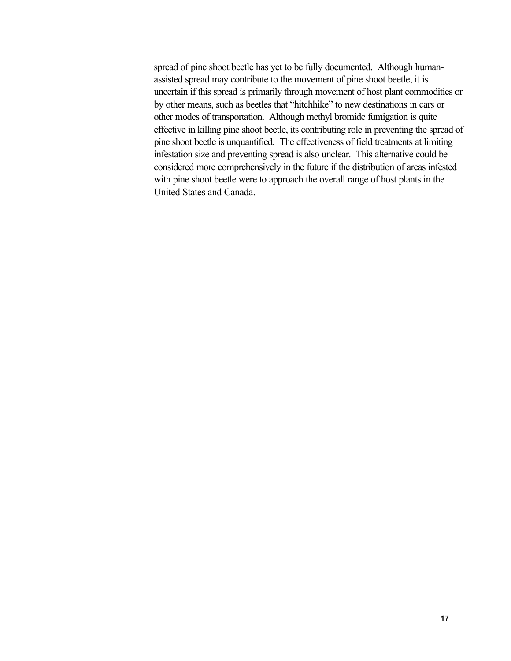spread of pine shoot beetle has yet to be fully documented. Although humanassisted spread may contribute to the movement of pine shoot beetle, it is uncertain if this spread is primarily through movement of host plant commodities or by other means, such as beetles that "hitchhike" to new destinations in cars or other modes of transportation. Although methyl bromide fumigation is quite effective in killing pine shoot beetle, its contributing role in preventing the spread of pine shoot beetle is unquantified. The effectiveness of field treatments at limiting infestation size and preventing spread is also unclear. This alternative could be considered more comprehensively in the future if the distribution of areas infested with pine shoot beetle were to approach the overall range of host plants in the United States and Canada.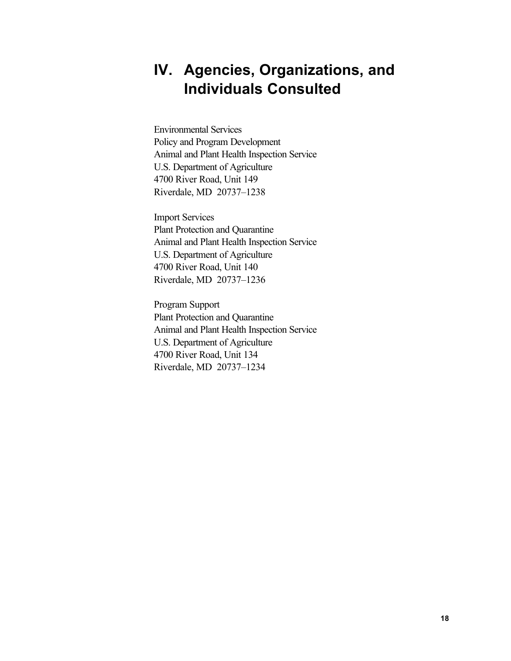## **IV. Agencies, Organizations, and Individuals Consulted**

Environmental Services Policy and Program Development Animal and Plant Health Inspection Service U.S. Department of Agriculture 4700 River Road, Unit 149 Riverdale, MD 20737–1238

Import Services Plant Protection and Quarantine Animal and Plant Health Inspection Service U.S. Department of Agriculture 4700 River Road, Unit 140 Riverdale, MD 20737–1236

Program Support Plant Protection and Quarantine Animal and Plant Health Inspection Service U.S. Department of Agriculture 4700 River Road, Unit 134 Riverdale, MD 20737–1234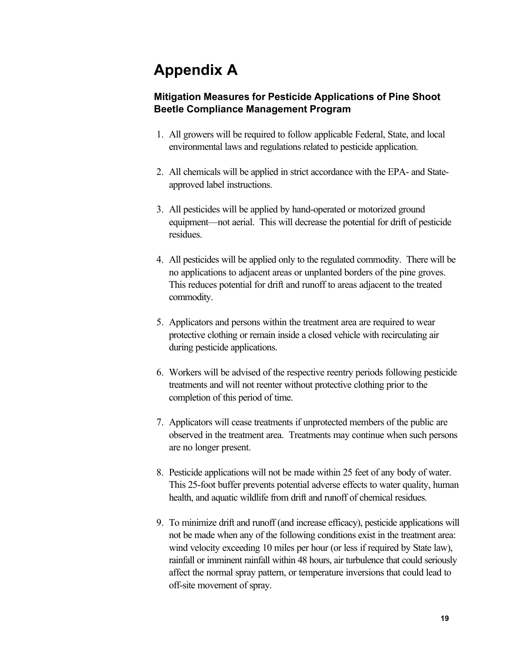## **Appendix A**

#### **Mitigation Measures for Pesticide Applications of Pine Shoot Beetle Compliance Management Program**

- 1. All growers will be required to follow applicable Federal, State, and local environmental laws and regulations related to pesticide application.
- 2. All chemicals will be applied in strict accordance with the EPA- and Stateapproved label instructions.
- 3. All pesticides will be applied by hand-operated or motorized ground equipment—not aerial. This will decrease the potential for drift of pesticide residues.
- 4. All pesticides will be applied only to the regulated commodity. There will be no applications to adjacent areas or unplanted borders of the pine groves. This reduces potential for drift and runoff to areas adjacent to the treated commodity.
- 5. Applicators and persons within the treatment area are required to wear protective clothing or remain inside a closed vehicle with recirculating air during pesticide applications.
- 6. Workers will be advised of the respective reentry periods following pesticide treatments and will not reenter without protective clothing prior to the completion of this period of time.
- 7. Applicators will cease treatments if unprotected members of the public are observed in the treatment area. Treatments may continue when such persons are no longer present.
- 8. Pesticide applications will not be made within 25 feet of any body of water. This 25-foot buffer prevents potential adverse effects to water quality, human health, and aquatic wildlife from drift and runoff of chemical residues.
- 9. To minimize drift and runoff (and increase efficacy), pesticide applications will not be made when any of the following conditions exist in the treatment area: wind velocity exceeding 10 miles per hour (or less if required by State law), rainfall or imminent rainfall within 48 hours, air turbulence that could seriously affect the normal spray pattern, or temperature inversions that could lead to off-site movement of spray.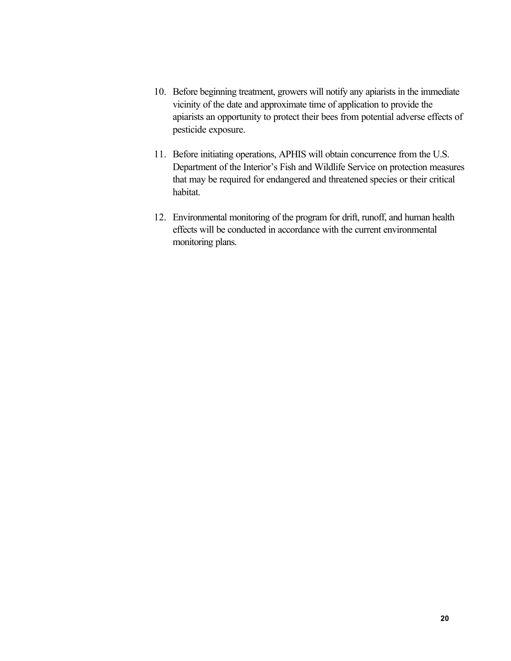- 10. Before beginning treatment, growers will notify any apiarists in the immediate vicinity of the date and approximate time of application to provide the apiarists an opportunity to protect their bees from potential adverse effects of pesticide exposure.
- 11. Before initiating operations, APHIS will obtain concurrence from the U.S. Department of the Interior's Fish and Wildlife Service on protection measures that may be required for endangered and threatened species or their critical habitat.
- 12. Environmental monitoring of the program for drift, runoff, and human health effects will be conducted in accordance with the current environmental monitoring plans.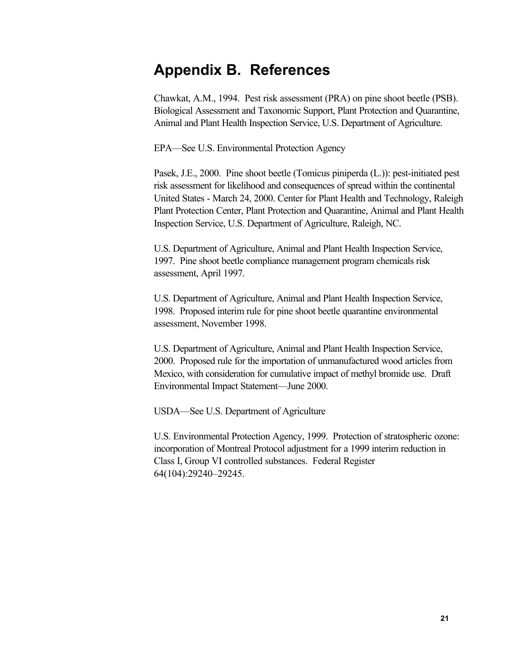## **Appendix B. References**

Chawkat, A.M., 1994. Pest risk assessment (PRA) on pine shoot beetle (PSB). Biological Assessment and Taxonomic Support, Plant Protection and Quarantine, Animal and Plant Health Inspection Service, U.S. Department of Agriculture.

EPA—See U.S. Environmental Protection Agency

Pasek, J.E., 2000. Pine shoot beetle (Tomicus piniperda (L.)): pest-initiated pest risk assessment for likelihood and consequences of spread within the continental United States - March 24, 2000. Center for Plant Health and Technology, Raleigh Plant Protection Center, Plant Protection and Quarantine, Animal and Plant Health Inspection Service, U.S. Department of Agriculture, Raleigh, NC.

U.S. Department of Agriculture, Animal and Plant Health Inspection Service, 1997. Pine shoot beetle compliance management program chemicals risk assessment, April 1997.

U.S. Department of Agriculture, Animal and Plant Health Inspection Service, 1998. Proposed interim rule for pine shoot beetle quarantine environmental assessment, November 1998.

U.S. Department of Agriculture, Animal and Plant Health Inspection Service, 2000. Proposed rule for the importation of unmanufactured wood articles from Mexico, with consideration for cumulative impact of methyl bromide use. Draft Environmental Impact Statement—June 2000.

USDA—See U.S. Department of Agriculture

U.S. Environmental Protection Agency, 1999. Protection of stratospheric ozone: incorporation of Montreal Protocol adjustment for a 1999 interim reduction in Class I, Group VI controlled substances. Federal Register 64(104):29240–29245.